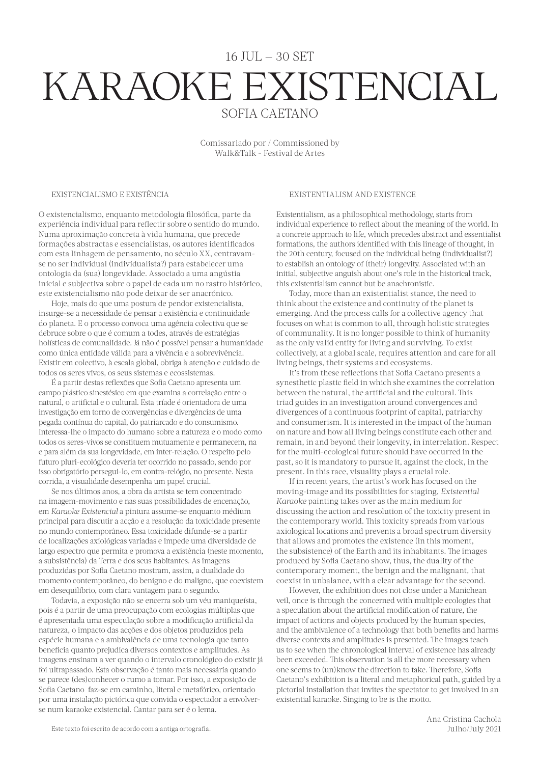## 16 JUL — 30 SET KARAOKE EXISTENCIAL SOFIA CAETANO

Comissariado por / Commissioned by Walk&Talk - Festival de Artes

## EXISTENCIALISMO E EXISTÊNCIA

O existencialismo, enquanto metodologia filosófica, parte da experiência individual para reflectir sobre o sentido do mundo. Numa aproximação concreta à vida humana, que precede formações abstractas e essencialistas, os autores identificados com esta linhagem de pensamento, no século XX, centravamse no ser individual (individualista?) para estabelecer uma ontologia da (sua) longevidade. Associado a uma angústia inicial e subjectiva sobre o papel de cada um no rastro histórico, este existencialismo não pode deixar de ser anacrónico.

Hoje, mais do que uma postura de pendor existencialista, insurge-se a necessidade de pensar a existência e continuidade do planeta. E o processo convoca uma agência colectiva que se debruce sobre o que é comum a todes, através de estratégias holísticas de comunalidade. Já não é possível pensar a humanidade como única entidade válida para a vivência e a sobrevivência. Existir em colectivo, à escala global, obriga à atenção e cuidado de todos os seres vivos, os seus sistemas e ecossistemas.

É a partir destas reflexões que Sofia Caetano apresenta um campo plástico sinestésico em que examina a correlação entre o natural, o artificial e o cultural. Esta tríade é orientadora de uma investigação em torno de convergências e divergências de uma pegada contínua do capital, do patriarcado e do consumismo. Interessa-lhe o impacto do humano sobre a natureza e o modo como todos os seres-vivos se constituem mutuamente e permanecem, na e para além da sua longevidade, em inter-relação. O respeito pelo futuro pluri-ecológico deveria ter ocorrido no passado, sendo por isso obrigatório persegui-lo, em contra-relógio, no presente. Nesta corrida, a visualidade desempenha um papel crucial.

Se nos últimos anos, a obra da artista se tem concentrado na imagem-movimento e nas suas possibilidades de encenação, em *Karaoke Existencial* a pintura assume-se enquanto médium principal para discutir a acção e a resolução da toxicidade presente no mundo contemporâneo. Essa toxicidade difunde-se a partir de localizações axiológicas variadas e impede uma diversidade de largo espectro que permita e promova a existência (neste momento, a subsistência) da Terra e dos seus habitantes. As imagens produzidas por Sofia Caetano mostram, assim, a dualidade do momento contemporâneo, do benigno e do maligno, que coexistem em desequilíbrio, com clara vantagem para o segundo.

Todavia, a exposição não se encerra sob um véu maniqueísta, pois é a partir de uma preocupação com ecologias múltiplas que é apresentada uma especulação sobre a modificação artificial da natureza, o impacto das acções e dos objetos produzidos pela espécie humana e a ambivalência de uma tecnologia que tanto beneficia quanto prejudica diversos contextos e amplitudes. As imagens ensinam a ver quando o intervalo cronológico do existir já foi ultrapassado. Esta observação é tanto mais necessária quando se parece (des)conhecer o rumo a tomar. Por isso, a exposição de Sofia Caetano faz-se em caminho, literal e metafórico, orientado por uma instalação pictórica que convida o espectador a envolverse num karaoke existencial. Cantar para ser é o lema.

## EXISTENTIALISM AND EXISTENCE

Existentialism, as a philosophical methodology, starts from individual experience to reflect about the meaning of the world. In a concrete approach to life, which precedes abstract and essentialist formations, the authors identified with this lineage of thought, in the 20th century, focused on the individual being (individualist?) to establish an ontology of (their) longevity. Associated with an initial, subjective anguish about one's role in the historical track, this existentialism cannot but be anachronistic.

Today, more than an existentialist stance, the need to think about the existence and continuity of the planet is emerging. And the process calls for a collective agency that focuses on what is common to all, through holistic strategies of communality. It is no longer possible to think of humanity as the only valid entity for living and surviving. To exist collectively, at a global scale, requires attention and care for all living beings, their systems and ecosystems.

It's from these reflections that Sofia Caetano presents a synesthetic plastic field in which she examines the correlation between the natural, the artificial and the cultural. This triad guides in an investigation around convergences and divergences of a continuous footprint of capital, patriarchy and consumerism. It is interested in the impact of the human on nature and how all living beings constitute each other and remain, in and beyond their longevity, in interrelation. Respect for the multi-ecological future should have occurred in the past, so it is mandatory to pursue it, against the clock, in the present. In this race, visuality plays a crucial role.

If in recent years, the artist's work has focused on the moving-image and its possibilities for staging, *Existential Karaoke* painting takes over as the main medium for discussing the action and resolution of the toxicity present in the contemporary world. This toxicity spreads from various axiological locations and prevents a broad spectrum diversity that allows and promotes the existence (in this moment, the subsistence) of the Earth and its inhabitants. The images produced by Sofia Caetano show, thus, the duality of the contemporary moment, the benign and the malignant, that coexist in unbalance, with a clear advantage for the second.

However, the exhibition does not close under a Manichean veil, once is through the concerned with multiple ecologies that a speculation about the artificial modification of nature, the impact of actions and objects produced by the human species, and the ambivalence of a technology that both benefits and harms diverse contexts and amplitudes is presented. The images teach us to see when the chronological interval of existence has already been exceeded. This observation is all the more necessary when one seems to (un)know the direction to take. Therefore, Sofia Caetano's exhibition is a literal and metaphorical path, guided by a pictorial installation that invites the spectator to get involved in an existential karaoke. Singing to be is the motto.